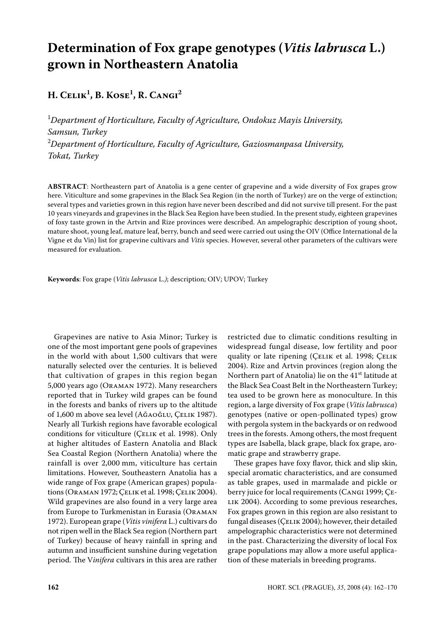# **Determination of Fox grape genotypes (***Vitis labrusca* **L.) grown in Northeastern Anatolia**

**H. Celik1 , B. Kose1 , R. Cangi2**

1 *Department of Horticulture, Faculty of Agriculture, Ondokuz mayis University, Samsun, Turkey*  2 *Department of Horticulture, Faculty of Agriculture, Gaziosmanpasa University, Tokat, Turkey*

**ABSTRACT**: Northeastern part of Anatolia is a gene center of grapevine and a wide diversity of Fox grapes grow here. Viticulture and some grapevines in the Black Sea Region (in the north of Turkey) are on the verge of extinction; several types and varieties grown in this region have never been described and did not survive till present. For the past 10 years vineyards and grapevines in the Black Sea Region have been studied. In the present study, eighteen grapevines of foxy taste grown in the Artvin and Rize provinces were described. An ampelographic description of young shoot, mature shoot, young leaf, mature leaf, berry, bunch and seed were carried out using the OIV (Office International de la Vigne et du Vin) list for grapevine cultivars and *Vitis* species. However, several other parameters of the cultivars were measured for evaluation.

**Keywords**: Fox grape (*Vitis labrusca* L.*)*; description; OIV; UPOV; Turkey

Grapevines are native to Asia Minor; Turkey is one of the most important gene pools of grapevines in the world with about 1,500 cultivars that were naturally selected over the centuries. It is believed that cultivation of grapes in this region began 5,000 years ago (Oraman 1972). Many researchers reported that in Turkey wild grapes can be found in the forests and banks of rivers up to the altitude of 1,600 m above sea level (AĞaoĞlu, Çelik 1987). Nearly all Turkish regions have favorable ecological conditions for viticulture (ÇELIK et al. 1998). Only at higher altitudes of Eastern Anatolia and Black Sea Coastal Region (Northern Anatolia) where the rainfall is over 2,000 mm, viticulture has certain limitations. However, Southeastern Anatolia has a wide range of Fox grape (American grapes) populations (Oraman 1972; Çelik et al. 1998; Çelik 2004). Wild grapevines are also found in a very large area from Europe to Turkmenistan in Eurasia (Oraman 1972). European grape (*Vitis vinifera* L.) cultivars do not ripen well in the Black Sea region (Northern part of Turkey) because of heavy rainfall in spring and autumn and insufficient sunshine during vegetation period. The V*inifera* cultivars in this area are rather

restricted due to climatic conditions resulting in widespread fungal disease, low fertility and poor quality or late ripening (CELIK et al. 1998; CELIK 2004). Rize and Artvin provinces (region along the Northern part of Anatolia) lie on the 41<sup>st</sup> latitude at the Black Sea Coast Belt in the Northeastern Turkey; tea used to be grown here as monoculture. In this region, a large diversity of Fox grape (*Vitis labrusca*) genotypes (native or open-pollinated types) grow with pergola system in the backyards or on redwood trees in the forests. Among others, the most frequent types are Isabella, black grape, black fox grape, aromatic grape and strawberry grape.

These grapes have foxy flavor, thick and slip skin, special aromatic characteristics, and are consumed as table grapes, used in marmalade and pickle or berry juice for local requirements (Cangi 1999; Çe-LIK 2004). According to some previous researches, Fox grapes grown in this region are also resistant to fungal diseases (CELIK 2004); however, their detailed ampelographic characteristics were not determined in the past. Characterizing the diversity of local Fox grape populations may allow a more useful application of these materials in breeding programs.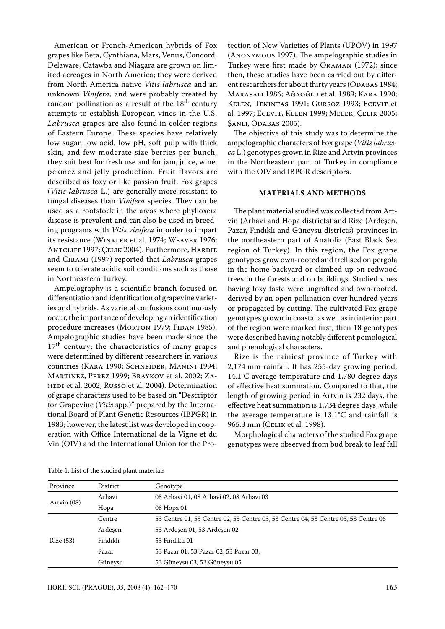American or French-American hybrids of Fox grapes like Beta, Cynthiana, Mars, Venus, Concord, Delaware, Catawba and Niagara are grown on limited acreages in North America; they were derived from North America native *Vitis labrusca* and an unknown *Vinifera,* and were probably created by random pollination as a result of the  $18<sup>th</sup>$  century attempts to establish European vines in the U.S. *Labrusca* grapes are also found in colder regions of Eastern Europe. These species have relatively low sugar, low acid, low pH, soft pulp with thick skin, and few moderate-size berries per bunch; they suit best for fresh use and for jam, juice, wine, pekmez and jelly production. Fruit flavors are described as foxy or like passion fruit. Fox grapes (*Vitis labrusca* L.) are generally more resistant to fungal diseases than *Vinifera* species. They can be used as a rootstock in the areas where phylloxera disease is prevalent and can also be used in breeding programs with *Vitis vinifera* in order to impart its resistance (Winkler et al. 1974; Weaver 1976; Antcliff 1997; Çelik 2004). Furthermore, Hardie and Cirami (1997) reported that *Labrusca* grapes seem to tolerate acidic soil conditions such as those in Northeastern Turkey.

Ampelography is a scientific branch focused on differentiation and identification of grapevine varieties and hybrids. As varietal confusions continuously occur, the importance of developing an identification procedure increases (MORTON 1979; FIDAN 1985). Ampelographic studies have been made since the  $17<sup>th</sup>$  century; the characteristics of many grapes were determined by different researchers in various countries (Kara 1990; Schneider, Manini 1994; Martinez, Perez 1999; Braykov et al. 2002; Zahedi et al. 2002; Russo et al. 2004). Determination of grape characters used to be based on "Descriptor for Grapevine (*Vitis* spp.)" prepared by the International Board of Plant Genetic Resources (IBPGR) in 1983; however, the latest list was developed in cooperation with Office International de la Vigne et du Vin (OIV) and the International Union for the Pro-

tection of New Varieties of Plants (UPOV) in 1997 (Anonymous 1997). The ampelographic studies in Turkey were first made by Oraman (1972); since then, these studies have been carried out by different researchers for about thirty years (ODABAS 1984; Marasalı 1986; AĞaoĞlu et al. 1989; Kara 1990; Kelen, Tekintas 1991; Gursoz 1993; Ecevit et al. 1997; Ecevit, Kelen 1999; Melek, Çelik 2005; Şanlı, Odabas 2005).

The objective of this study was to determine the ampelographic characters of Fox grape (*Vitis labrusca* L.) genotypes grown in Rize and Artvin provinces in the Northeastern part of Turkey in compliance with the OIV and IBPGR descriptors.

## **MATERIALS AND METHODS**

The plant material studied was collected from Artvin (Arhavi and Hopa districts) and Rize (Ardeşen, Pazar, Fındıklı and Güneysu districts) provinces in the northeastern part of Anatolia (East Black Sea region of Turkey). In this region, the Fox grape genotypes grow own-rooted and trellised on pergola in the home backyard or climbed up on redwood trees in the forests and on buildings. Studied vines having foxy taste were ungrafted and own-rooted, derived by an open pollination over hundred years or propagated by cutting. The cultivated Fox grape genotypes grown in coastal as well as in interior part of the region were marked first; then 18 genotypes were described having notably different pomological and phenological characters.

Rize is the rainiest province of Turkey with 2,174 mm rainfall. It has 255-day growing period, 14.1°C average temperature and 1,780 degree days of effective heat summation. Compared to that, the length of growing period in Artvin is 232 days, the effective heat summation is 1,734 degree days, while the average temperature is 13.1°C and rainfall is 965.3 mm (CELIK et al. 1998).

Morphological characters of the studied Fox grape genotypes were observed from bud break to leaf fall

| Province    | District | Genotype                                                                           |
|-------------|----------|------------------------------------------------------------------------------------|
|             | Arhavi   | 08 Arhavi 01, 08 Arhavi 02, 08 Arhavi 03                                           |
| Artvin (08) | Hopa     | 08 Hopa 01                                                                         |
|             | Centre   | 53 Centre 01, 53 Centre 02, 53 Centre 03, 53 Centre 04, 53 Centre 05, 53 Centre 06 |
|             | Ardesen  | 53 Ardeşen 01, 53 Ardeşen 02                                                       |
| Rize(53)    | Findikli | 53 Findikli 01                                                                     |
|             | Pazar    | 53 Pazar 01, 53 Pazar 02, 53 Pazar 03,                                             |
|             | Güneysu  | 53 Güneysu 03, 53 Güneysu 05                                                       |

Table 1. List of the studied plant materials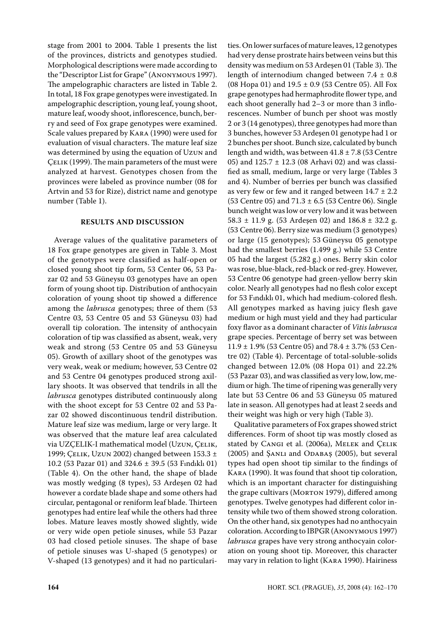stage from 2001 to 2004. Table 1 presents the list of the provinces, districts and genotypes studied. Morphological descriptions were made according to the "Descriptor List for Grape" (Anonymous 1997). The ampelographic characters are listed in Table 2. In total, 18 Fox grape genotypes were investigated. In ampelographic description, young leaf, young shoot, mature leaf, woody shoot, inflorescence, bunch, berry and seed of Fox grape genotypes were examined. Scale values prepared by Kara (1990) were used for evaluation of visual characters. The mature leaf size was determined by using the equation of Uzun and Çelik (1999). The main parameters of the must were analyzed at harvest. Genotypes chosen from the provinces were labeled as province number (08 for Artvin and 53 for Rize), district name and genotype number (Table 1).

## **RESULTS AND DISCUSSION**

Average values of the qualitative parameters of 18 Fox grape genotypes are given in Table 3. Most of the genotypes were classified as half-open or closed young shoot tip form, 53 Center 06, 53 Pazar 02 and 53 Güneysu 03 genotypes have an open form of young shoot tip. Distribution of anthocyain coloration of young shoot tip showed a difference among the *labrusca* genotypes; three of them (53 Centre 03, 53 Centre 05 and 53 Güneysu 03) had overall tip coloration. The intensity of anthocyain coloration of tip was classified as absent, weak, very weak and strong (53 Centre 05 and 53 Güneysu 05). Growth of axillary shoot of the genotypes was very weak, weak or medium; however, 53 Centre 02 and 53 Centre 04 genotypes produced strong axillary shoots. It was observed that tendrils in all the *labrusca* genotypes distributed continuously along with the shoot except for 53 Centre 02 and 53 Pazar 02 showed discontinuous tendril distribution. Mature leaf size was medium, large or very large. It was observed that the mature leaf area calculated via UZÇELIK-I mathematical model (Uzun, ÇELIK, 1999; Çelik, Uzun 2002) changed between 153.3 ± 10.2 (53 Pazar 01) and 324.6 ± 39.5 (53 Fındıklı 01) (Table 4). On the other hand, the shape of blade was mostly wedging (8 types), 53 Ardeşen 02 had however a cordate blade shape and some others had circular, pentagonal or reniform leaf blade. Thirteen genotypes had entire leaf while the others had three lobes. Mature leaves mostly showed slightly, wide or very wide open petiole sinuses, while 53 Pazar 03 had closed petiole sinuses. The shape of base of petiole sinuses was U-shaped (5 genotypes) or V-shaped (13 genotypes) and it had no particulari-

ties. On lower surfaces of mature leaves, 12 genotypes had very dense prostrate hairs between veins but this density was medium on 53 Ardeşen 01 (Table 3). The length of internodium changed between 7.4 ± 0.8 (08 Hopa 01) and 19.5 ± 0.9 (53 Centre 05). All Fox grape genotypes had hermaphrodite flower type, and each shoot generally had 2–3 or more than 3 inflorescences. Number of bunch per shoot was mostly 2 or 3 (14 genotypes), three genotypes had more than 3 bunches, however 53 Ardeşen 01 genotype had 1 or 2 bunches per shoot. Bunch size, calculated by bunch length and width, was between  $41.8 \pm 7.8$  (53 Centre 05) and 125.7 ± 12.3 (08 Arhavi 02) and was classified as small, medium, large or very large (Tables 3 and 4). Number of berries per bunch was classified as very few or few and it ranged between  $14.7 \pm 2.2$ (53 Centre 05) and  $71.3 \pm 6.5$  (53 Centre 06). Single bunch weight was low or very low and it was between 58.3  $\pm$  11.9 g. (53 Ardeşen 02) and 186.8  $\pm$  32.2 g. (53 Centre 06). Berry size was medium (3 genotypes) or large (15 genotypes); 53 Güneysu 05 genotype had the smallest berries (1.499 g.) while 53 Centre 05 had the largest (5.282 g.) ones. Berry skin color was rose, blue-black, red-black or red-grey. However, 53 Centre 06 genotype had green-yellow berry skin color. Nearly all genotypes had no flesh color except for 53 Fındıklı 01, which had medium-colored flesh. All genotypes marked as having juicy flesh gave medium or high must yield and they had particular foxy flavor as a dominant character of *Vitis labrusca* grape species. Percentage of berry set was between 11.9 ± 1.9% (53 Centre 05) and 78.4 ± 3.7% (53 Centre 02) (Table 4). Percentage of total-soluble-solids changed between 12.0% (08 Hopa 01) and 22.2% (53 Pazar 03), and was classified as very low, low, medium or high. The time of ripening was generally very late but 53 Centre 06 and 53 Güneysu 05 matured late in season. All genotypes had at least 2 seeds and their weight was high or very high (Table 3).

Qualitative parameters of Fox grapes showed strict differences. Form of shoot tip was mostly closed as stated by CANGI et al. (2006a), MELEK and ÇELIK (2005) and ŞANLI and ODABAŞ (2005), but several types had open shoot tip similar to the findings of Kara (1990). It was found that shoot tip coloration, which is an important character for distinguishing the grape cultivars (MORTON 1979), differed among genotypes. Twelve genotypes had different color intensity while two of them showed strong coloration. On the other hand, six genotypes had no anthocyain coloration. According to IBPGR (Anonymous 1997) *labrusca* grapes have very strong anthocyain coloration on young shoot tip. Moreover, this character may vary in relation to light (Kara 1990). Hairiness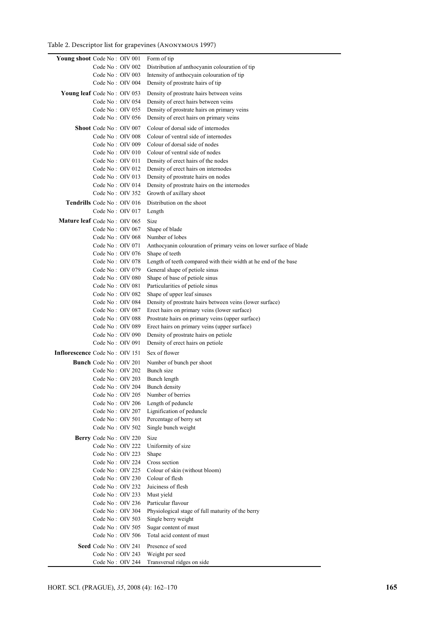# Table 2. Descriptor list for grapevines (Anonymous 1997)

| Young shoot Code No: OIV 001                      | Form of tip                                                                          |
|---------------------------------------------------|--------------------------------------------------------------------------------------|
| Code No: OIV 002                                  | Distribution af anthocyanin colouration of tip                                       |
| Code No: OIV 003                                  | Intensity of anthocyain colouration of tip                                           |
| Code No: OIV 004                                  | Density of prostrate hairs of tip                                                    |
| <b>Young leaf</b> Code No: OIV 053                | Density of prostrate hairs between veins                                             |
| Code No: OIV 054                                  | Density of erect hairs between veins                                                 |
| Code No: OIV 055                                  | Density of prostrate hairs on primary veins                                          |
| Code No: OIV 056                                  | Density of erect hairs on primary veins                                              |
| <b>Shoot</b> Code No: OIV 007                     | Colour of dorsal side of internodes                                                  |
| Code No: OIV 008                                  | Colour of ventral side of internodes                                                 |
| Code No: OIV 009                                  | Colour of dorsal side of nodes                                                       |
| Code No: OIV 010                                  | Colour of ventral side of nodes                                                      |
| Code No: OIV 011                                  | Density of erect hairs of the nodes                                                  |
| Code No: OIV 012                                  | Density of erect hairs on internodes                                                 |
| Code No: OIV 013                                  | Density of prostrate hairs on nodes                                                  |
| Code No: OIV 014                                  | Density of prostrate hairs on the internodes                                         |
| Code No: OIV 352                                  | Growth of axillary shoot                                                             |
| <b>Tendrills</b> Code No: OIV 016                 | Distribution on the shoot                                                            |
| Code No: OIV 017                                  | Length                                                                               |
| Mature leaf Code No: OIV 065                      |                                                                                      |
|                                                   | Size                                                                                 |
| Code No: OIV 067<br>Code No: OIV 068              | Shape of blade<br>Number of lobes                                                    |
|                                                   |                                                                                      |
| Code No: OIV 071<br>Code No: OIV 076              | Anthocyanin colouration of primary veins on lower surface of blade<br>Shape of teeth |
| Code No: OIV 078                                  | Length of teeth compared with their width at he end of the base                      |
| Code No: OIV 079                                  | General shape of petiole sinus                                                       |
| Code No: OIV 080                                  | Shape of base of petiole sinus                                                       |
| Code No: OIV 081                                  | Particularities of petiole sinus                                                     |
| Code No: OIV 082                                  | Shape of upper leaf sinuses                                                          |
| Code No: OIV 084                                  | Density of prostrate hairs between veins (lower surface)                             |
| Code No: OIV 087                                  | Erect hairs on primary veins (lower surface)                                         |
| Code No: OIV 088                                  | Prostrate hairs on primary veins (upper surface)                                     |
| Code No: OIV 089                                  | Erect hairs on primary veins (upper surface)                                         |
| Code No: OIV 090                                  | Density of prostrate hairs on petiole                                                |
| Code No: OIV 091                                  | Density of erect hairs on petiole                                                    |
| Inflorescence Code No: OIV 151                    | Sex of flower                                                                        |
|                                                   |                                                                                      |
| <b>Bunch</b> Code No: OIV 201<br>Code No: OIV 202 | Number of bunch per shoot<br>Bunch size                                              |
| Code No: OIV 203                                  | Bunch length                                                                         |
| Code No: OIV 204                                  | Bunch density                                                                        |
| Code No: OIV 205                                  | Number of berries                                                                    |
| Code No: OIV 206                                  | Length of peduncle                                                                   |
| Code No: OIV 207                                  | Lignification of peduncle                                                            |
| Code No: OIV 501                                  | Percentage of berry set                                                              |
| Code No: OIV 502                                  | Single bunch weight                                                                  |
| Berry Code No: OIV 220                            | Size                                                                                 |
| Code No: OIV 222                                  | Uniformity of size                                                                   |
| Code No: OIV 223                                  | Shape                                                                                |
| Code No: OIV 224                                  | Cross section                                                                        |
| Code No: OIV 225                                  | Colour of skin (without bloom)                                                       |
| Code No: OIV 230                                  | Colour of flesh                                                                      |
| Code No: OIV 232                                  | Juiciness of flesh                                                                   |
| Code No: OIV 233                                  | Must yield                                                                           |
| Code No: OIV 236                                  | Particular flavour                                                                   |
| Code No: OIV 304                                  | Physiological stage of full maturity of the berry                                    |
| Code No: OIV 503                                  | Single berry weight                                                                  |
| Code No: OIV 505                                  | Sugar content of must                                                                |
| Code No: OIV 506                                  | Total acid content of must                                                           |
| Seed Code No: OIV 241                             | Presence of seed                                                                     |
| Code No: OIV 243                                  | Weight per seed                                                                      |
| Code No: OIV 244                                  | Transversal ridges on side                                                           |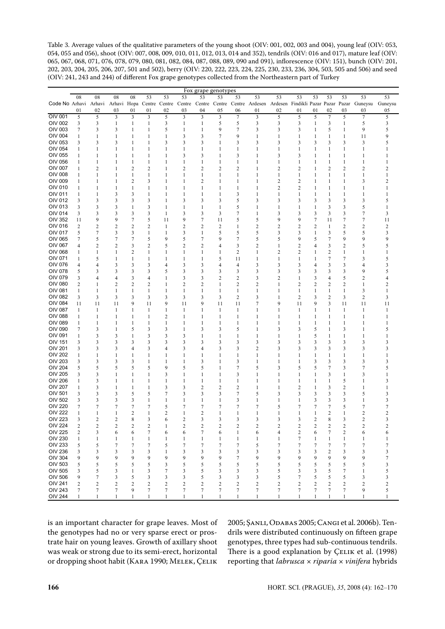Table 3. Average values of the qualitative parameters of the young shoot (OIV: 001, 002, 003 and 004), young leaf (OIV: 053, 054, 055 and 056), shoot (OIV: 007, 008, 009, 010, 011, 012, 013, 014 and 352), tendrils (OIV: 016 and 017), mature leaf (OIV: 065, 067, 068, 071, 076, 078, 079, 080, 081, 082, 084, 087, 088, 089, 090 and 091), inflorescence (OIV: 151), bunch (OIV: 201, 202, 203, 204, 205, 206, 207, 501 and 502), berry (OIV: 220, 222, 223, 224, 225, 230, 233, 236, 304, 503, 505 and 506) and seed (OIV: 241, 243 and 244) of different fox grape genotypes collected from the northeastern part of Turkey

|                       |                         |                         |                         |                         |                  |                |                         |                  | Fox grape genotypes     |                         |                |                         |                         |                  |                         |                  |                                                                                                                  |                |
|-----------------------|-------------------------|-------------------------|-------------------------|-------------------------|------------------|----------------|-------------------------|------------------|-------------------------|-------------------------|----------------|-------------------------|-------------------------|------------------|-------------------------|------------------|------------------------------------------------------------------------------------------------------------------|----------------|
|                       | 08                      | 08                      | 08                      | 08                      | 53               | 53             | 53                      | 53               | 53                      | 53                      | 53             | 53                      | 53                      | 53               | 53                      | 53               | 53                                                                                                               | 53             |
| Code No Arhavi Arhavi |                         |                         |                         |                         |                  |                |                         |                  |                         |                         |                |                         |                         |                  |                         |                  | Arhavi Hopa Centre Centre Centre Centre Centre Centre Ardesen Ardesen Findikli Pazar Pazar Pazar Guneysu Guneysu |                |
|                       | 01                      | 02                      | 03                      | 01                      | 01               | 02             | 03                      | 04               | 05                      | 06                      | 01             | 02                      | 01                      | 01               | 02                      | 03               | 03                                                                                                               | 05             |
| OIV 001               | 5                       | 5                       | 3                       | 3                       | 3                | 5              | 3                       | 3                | 3                       | $\boldsymbol{7}$        | $\mathfrak{Z}$ | 5                       | 5                       | 5                | $\boldsymbol{7}$        | 5                | $\boldsymbol{7}$                                                                                                 | 5              |
| <b>OIV 002</b>        | 3                       | 3                       | $\mathbf{1}$            | $\mathbf{1}$            | 1                | 3              | $\mathbf{1}$            | 1                | 5                       | 5                       | 3              | 3                       | 3                       | 1                | 3                       | 1                | 5                                                                                                                | 3              |
| <b>OIV 003</b>        | 7                       | 3                       | 3                       | 1                       | 1                | 5              | 1                       | 1                | 9                       | 7                       | 3              | 3                       | 3                       | 1                | 5                       | 1                | 9                                                                                                                | 5              |
| <b>OIV 004</b>        |                         | 1                       | $\mathbf{1}$            |                         | $\mathbf{1}$     | $\mathbf{1}$   | 3                       |                  | $\overline{7}$          | 9                       | 1              | $\mathbf{1}$            |                         | 1                | $\mathbf{1}$            |                  |                                                                                                                  | 9              |
|                       | 1                       |                         |                         | 1                       |                  |                |                         | 3                |                         |                         |                |                         | 1                       |                  |                         | 1                | 11                                                                                                               |                |
| OIV 053               | 3                       | 3                       | 3                       | 1                       | 1                | 3              | 3                       | 3                | $\mathbf{1}$            | 3                       | 3              | 3                       | 3                       | 3                | 3                       | 3                | 3                                                                                                                | 5              |
| OIV 054               | 1                       | 1                       | 1                       | 1                       | 1                | 1              | 1                       | 1                | 1                       | 1                       | 1              | 1                       | 1                       | 1                | 1                       | 1                | 1                                                                                                                |                |
| OIV 055               | 1                       | 1                       | $\mathbf{1}$            | 1                       | 1                | 1              | 3                       | 3                | 1                       | 3                       | 1              | 3                       | 3                       | 1                | 1                       | 1                | 1                                                                                                                | 1              |
| OIV 056               | 1                       | $\mathbf{1}$            | $\mathbf{1}$            | $\mathbf{1}$            | $\mathbf{1}$     | 1              | $\mathbf{1}$            | 1                | $\mathbf{1}$            | 1                       | 1              | $\mathbf{1}$            | 1                       | 1                | $\mathbf{1}$            | 1                | $\mathbf{1}$                                                                                                     | 1              |
| <b>OIV 007</b>        | $\mathbf{1}$            | $\overline{c}$          | $\mathbf{1}$            | $\overline{2}$          | 2                | $\mathbf{1}$   | $\overline{c}$          | $\overline{c}$   | $\overline{2}$          | $\overline{2}$          | 1              | $\overline{c}$          | $\overline{2}$          | 1                | 2                       | 2                | $\overline{c}$                                                                                                   | 2              |
| <b>OIV 008</b>        | 1                       | 1                       | 1                       | 1                       | 1                | 1              | 1                       | 1                | 1                       | 1                       | 1              | 1                       | 1                       | 1                | 1                       | 1                | 1                                                                                                                | 1              |
| <b>OIV 009</b>        | 1                       | 1                       | $\mathbf{1}$            | $\overline{\mathbf{c}}$ | 3                | 1              | 1                       | 2                | 1                       | 1                       | 1              | $\overline{c}$          | 2                       | 1                | 1                       | 1                | 3                                                                                                                | 2              |
| OIV 010               | 1                       | 1                       | 1                       | $\mathbf{1}$            | 1                | 1              | 1                       | 1                | 1                       | 1                       | 1              | $\overline{c}$          | 2                       | 1                | 1                       | 1                | 1                                                                                                                |                |
| OIV 011               | $\mathbf{1}$            | 1                       | 3                       | 3                       | $\mathbf{1}$     | $\mathbf{1}$   | $\mathbf{1}$            | 1                | $\mathbf{1}$            | 3                       | 1              | $\mathbf{1}$            | 1                       | 1                | $\mathbf{1}$            | 1                | $\mathbf{1}$                                                                                                     | 1              |
| OIV 012               | 3                       | 3                       | 3                       | 3                       | 3                | 1              | 3                       | 3                | 3                       | 5                       | 3              | 3                       | 3                       | 3                | 3                       | 3                | 3                                                                                                                | 5              |
| <b>OIV 013</b>        | 3                       | 3                       | 3                       | $\mathbf{1}$            | 3                | 1              | $\mathbf{1}$            | 1                | 1                       | 5                       | 1              | 1                       | 1                       | 1                | 3                       | 3                | 5                                                                                                                | 1              |
| <b>OIV 014</b>        | $\mathfrak{Z}$          | 3                       | 3                       | 3                       | 3                | 1              | 3                       | 3                | 3                       | $\boldsymbol{7}$        | $\mathbf{1}$   | 3                       | 3                       | 3                | 3                       | 3                | $\boldsymbol{7}$                                                                                                 | 3              |
| OIV 352               |                         | 9                       | 9                       | $\boldsymbol{7}$        |                  | 11             | 9                       | 7                | 11                      |                         | 5              |                         |                         |                  | 11                      |                  |                                                                                                                  |                |
|                       | 11                      |                         |                         |                         | 5                |                |                         |                  |                         | 5                       |                | 9                       | 9                       | 7                |                         | 7                | 7                                                                                                                | 11             |
| OIV 016               | 2                       | 2                       | $\overline{c}$          | $\overline{2}$          | 2                | $\mathbf{1}$   | $\overline{\mathbf{c}}$ | $\overline{c}$   | $\overline{\mathbf{c}}$ | 1                       | 2              | $\overline{\mathbf{c}}$ | 2                       | $\overline{c}$   | 1                       | $\overline{c}$   | 2                                                                                                                | 2              |
| OIV 017               | 5                       | $\boldsymbol{7}$        | 3                       | 3                       | 1                | 1              | 3                       | 1                | 5                       | 5                       | 5              | 3                       | 3                       | 1                | 3                       | 5                | 5                                                                                                                | 3              |
| <b>OIV 065</b>        | 7                       | 5                       | $\boldsymbol{7}$        | $\boldsymbol{7}$        | 5                | 9              | 5                       | 7                | 9                       | 7                       | 5              | 5                       | 9                       | 5                | $\boldsymbol{7}$        | 9                | 9                                                                                                                | 9              |
| <b>OIV 067</b>        | $\overline{4}$          | 2                       | $\overline{\mathbf{c}}$ | 3                       | 2                | 5              | 2                       | 2                | $\overline{4}$          | 3                       | 2              | 1                       | 2                       | 4                | 3                       | 2                | 5                                                                                                                | 5              |
| <b>OIV 068</b>        | 1                       | 1                       | 1                       | $\overline{\mathbf{c}}$ | 1                | 1              | 1                       | 1                | 1                       | 2                       | 1              | 2                       | $\overline{c}$          | 1                | 2                       | 1                | 1                                                                                                                |                |
| OIV 071               | 1                       | 5                       | 1                       | 1                       | 1                | 1              | 1                       | 1                | 5                       | 11                      | 1              | 1                       | 1                       | 1                | $\boldsymbol{7}$        | $\boldsymbol{7}$ | 3                                                                                                                | 5              |
| <b>OIV 076</b>        | 4                       | $\overline{4}$          | 3                       | 3                       | 3                | $\overline{4}$ | 3                       | 3                | $\overline{4}$          | $\overline{4}$          | 3              | 3                       | 3                       | 4                | 3                       | 3                | 4                                                                                                                | 3              |
| <b>OIV 078</b>        | 5                       | 3                       | 3                       | 3                       | 3                | 5              | 3                       | 3                | 3                       | 3                       | 3              | 3                       | 3                       | 3                | 3                       | 3                | 9                                                                                                                | 5              |
| OIV 079               | 3                       | 4                       | $\overline{4}$          | 3                       | 4                | 1              | 3                       | 3                | $\overline{\mathbf{c}}$ | $\overline{\mathbf{c}}$ | 3              | 2                       | 1                       | 3                | 4                       | 5                | 2                                                                                                                | 4              |
| <b>OIV 080</b>        | $\overline{c}$          | 1                       | $\boldsymbol{2}$        | $\boldsymbol{2}$        | 2                | 1              | $\overline{\mathbf{c}}$ | $\overline{c}$   | 1                       | $\overline{c}$          | 2              | 1                       | 2                       | $\overline{c}$   | $\boldsymbol{2}$        | $\overline{c}$   | $\mathbf{1}$                                                                                                     | 2              |
| OIV 081               | 1                       | 1                       | 1                       | 1                       | 1                | 1              | 1                       | 1                | 1                       | 1                       | 1              | 1                       | 1                       | 1                | $\mathbf{1}$            | 1                | 3                                                                                                                | 1              |
| <b>OIV 082</b>        | 3                       | 3                       | 3                       | 3                       | 3                | 3              | 3                       | 3                | 3                       | $\overline{c}$          | 3              | 1                       | 2                       | 3                | $\overline{c}$          | 3                | $\overline{2}$                                                                                                   | 3              |
| <b>OIV 084</b>        | 11                      | 11                      | 11                      | 9                       | 11               | 9              | 11                      | 9                | 11                      | 11                      | 7              | 9                       | 11                      | 9                | 3                       | 11               | 11                                                                                                               | 11             |
| <b>OIV 087</b>        | 1                       | 1                       | 1                       | 1                       | 1                | $\mathbf{1}$   | 1                       | 1                | 1                       | 1                       | 1              | 1                       | 1                       | 1                | 1                       | 1                | 1                                                                                                                | $\mathbf{1}$   |
| <b>OIV 088</b>        | $\mathbf{1}$            | 1                       | $\mathbf{1}$            | 1                       | $\mathbf{1}$     | $\sqrt{2}$     | $\mathbf{1}$            | 1                | $\mathbf{1}$            | 1                       | 1              | $\mathbf{1}$            | 1                       | 1                | $\mathbf{1}$            | 1                | $\mathbf{1}$                                                                                                     | 1              |
| <b>OIV 089</b>        | 1                       | 1                       | $\mathbf{1}$            | $\mathbf{1}$            | $\mathbf{1}$     | $\mathbf{1}$   | 1                       | 1                | $\mathbf{1}$            | $\mathbf{1}$            | 1              | 1                       | 1                       | $\mathbf 1$      | $\mathbf{1}$            | 1                | 1                                                                                                                |                |
| <b>OIV 090</b>        | 7                       | 3                       | $\mathbf{1}$            | 5                       | 3                | 3              | 1                       | 3                | 3                       | 5                       | 1              | 3                       | 3                       | 5                | $\mathbf{1}$            | 3                | 1                                                                                                                | 5              |
| OIV 091               | $\mathbf{1}$            | 3                       | 3                       | $\mathbf{1}$            | 3                | 3              | 3                       | 1                | 1                       | 1                       | 1              | 1                       | 1                       | 5                | 1                       | 1                | 1                                                                                                                | 1              |
| <b>OIV 151</b>        | 3                       | 3                       | 3                       | 3                       | 3                | 3              | 3                       | 3                | 3                       | 3                       | 3              | 3                       | 3                       | 3                | 3                       | 3                | 3                                                                                                                | 3              |
| <b>OIV 201</b>        | 3                       | 3                       | 3                       | $\overline{4}$          | 3                | $\overline{4}$ | 3                       | 4                | 3                       | 3                       | $\overline{c}$ | 3                       | 3                       | 3                | 3                       | 3                | 3                                                                                                                | 3              |
| <b>OIV 202</b>        | 1                       | 1                       | 1                       | 1                       | 1                | 1              | 1                       | 1                | 1                       | 1                       | 1              | 1                       | 1                       | 1                | 1                       | 1                | 1                                                                                                                |                |
| <b>OIV 203</b>        | 3                       | 3                       | 3                       | 3                       | 1                | 1              | 1                       | 3                | 1                       | 3                       | 1              | 1                       | 1                       | 3                | 3                       | 3                | 3                                                                                                                | 3              |
| <b>OIV 204</b>        | 5                       | 5                       | 5                       | 5                       | 5                | 9              | 5                       | 5                | $\mathbf{1}$            | $\boldsymbol{7}$        | 5              | 3                       | 5                       | 5                | 7                       | 3                | $\boldsymbol{7}$                                                                                                 | 5              |
| <b>OIV 205</b>        | 3                       | 3                       | $\mathbf{1}$            | $\mathbf{1}$            | $\mathbf{1}$     | 3              | $\mathbf{1}$            | 1                | $\mathbf{1}$            | 3                       | $\mathbf{1}$   | $\mathbf{1}$            | $\mathbf{1}$            | 1                | 3                       | 1                | 3                                                                                                                |                |
| <b>OIV 206</b>        | 1                       | 3                       | 1                       | 1                       | 1                | 1              | 1                       | 1                | 1                       | 1                       | 1              | 1                       | 1                       | 1                | 1                       | 5                | 1                                                                                                                | 3              |
| <b>OIV 207</b>        |                         |                         |                         |                         |                  |                |                         |                  |                         |                         |                |                         |                         |                  |                         |                  |                                                                                                                  |                |
|                       | 1                       | 3                       | 1                       | 1                       | 1                | 3              | 3                       | 2                | $\boldsymbol{2}$        | $\overline{c}$          | 1              | 1                       | 2                       | $\mathbf 1$      | 3                       | $\boldsymbol{2}$ | 1                                                                                                                | 1              |
| OIV 501               | 3                       | 3                       | 3                       | 5                       | 5                | 7              | 3                       | 3                | 3                       | 7                       | 5              | 3                       | 3                       | 3                | 3                       | 3                | 5                                                                                                                | 3              |
| <b>OIV 502</b>        | 3                       | 3                       | 3                       | 3                       | $\mathbf{1}$     | $\mathbf{1}$   | $\mathbf{1}$            | 1                | $\mathbf{1}$            | 3                       | $\mathbf{1}$   | $\mathbf{1}$            | 1                       | 3                | 3                       | 3                | $\mathbf{1}$                                                                                                     | 3              |
| <b>OIV 220</b>        | 7                       | $\boldsymbol{7}$        | $\boldsymbol{7}$        | $\boldsymbol{7}$        | 7                | 5              | 7                       | $\boldsymbol{7}$ | $\boldsymbol{7}$        | 7                       | 7              | 5                       | 7                       | $\boldsymbol{7}$ | $\boldsymbol{7}$        | 5                | $\boldsymbol{7}$                                                                                                 | 7              |
| <b>OIV 222</b>        | 1                       | 1                       | 1                       | $\boldsymbol{2}$        | $\mathbf{1}$     | $\sqrt{2}$     | $\mathbf{1}$            | $\overline{c}$   | 1                       | 1                       | 1              | 1                       | 1                       | 1                | 2                       | 1                | $\overline{\mathbf{c}}$                                                                                          | 2              |
| <b>OIV 223</b>        | 3                       | $\overline{c}$          | $\overline{c}$          | 8                       | 3                | 6              | $\overline{c}$          | 3                | 3                       | 3                       | 3              | 3                       | 3                       | $\overline{c}$   | 8                       | 3                | $\overline{c}$                                                                                                   | 3              |
| OIV 224               | $\overline{\mathbf{c}}$ | 2                       | 2                       | 2                       | 2                | 1              | 2                       | 2                | 2                       | 2                       | 2              | 2                       | 2                       | 2                | 2                       | 2                | 2                                                                                                                | 2              |
| <b>OIV 225</b>        | $\sqrt{2}$              | 3                       | 6                       | 6                       | $\boldsymbol{7}$ | 6              | 6                       | $\boldsymbol{7}$ | 6                       | 1                       | 6              | 4                       | $\overline{\mathbf{c}}$ | 6                | $\tau$                  | $\mathbf{2}$     | 6                                                                                                                | 6              |
| <b>OIV 230</b>        | $\mathbf{1}$            | $\mathbf{1}$            | 1                       | 1                       | 1                | -1             | 1                       | 1                | 1                       | 1                       | $\mathbf{1}$   | 1                       | 7                       | 1                | 1                       | 1                | $\mathbf{1}$                                                                                                     | 1              |
| <b>OIV 233</b>        | 5                       | 5                       | 7                       | 7                       | 7                | 5              | 7                       | 7                | 7                       | 7                       | 5              | 7                       | 7                       | 7                | 7                       | 7                | 7                                                                                                                | 7              |
| <b>OIV 236</b>        | 3                       | 3                       | 3                       | 3                       | 3                | 1              | 3                       | 3                | 3                       | 3                       | 3              | 3                       | 3                       | 3                | $\overline{\mathbf{c}}$ | 3                | 3                                                                                                                | 3              |
| <b>OIV 304</b>        | 9                       | 9                       | 9                       | 9                       | 9                | 9              | 9                       | 9                | 9                       | 7                       | 9              | 9                       | 9                       | 9                | 9                       | 9                | 9                                                                                                                | 7              |
| OIV 503               | 5                       | 5                       | 5                       | 5                       | 5                | 3              | 5                       | 5                | 5                       | 5                       | 5              | 5                       | 5                       | 5                | 5                       | 5                | 5                                                                                                                | 3              |
| OIV 505               | 3                       | 5                       | 3                       | 1                       | 3                | 7              | 3                       | 5                | 3                       | 3                       | 3              | 5                       | 3                       | 3                | 5                       | 7                | $\mathbf{1}$                                                                                                     | 5              |
| <b>OIV 506</b>        | 9                       | $\boldsymbol{7}$        | 3                       | 5                       | 3                | 3              | 3                       | 5                | 3                       | 3                       | 3              | 5                       | 7                       | 5                | 5                       | 5                | 3                                                                                                                | 3              |
| <b>OIV 241</b>        | $\overline{c}$          | $\overline{\mathbf{c}}$ | $\mathbf{2}$            | $\mathbf{2}$            | 2                | $\overline{c}$ | $\overline{\mathbf{c}}$ | 2                | $\mathbf{2}$            | $\overline{\mathbf{c}}$ | 2              | $\overline{c}$          | 2                       | 2                | 2                       | 2                | 2                                                                                                                | $\overline{c}$ |
| <b>OIV 243</b>        | $\boldsymbol{7}$        | $\tau$                  | 7                       | 9                       | 7                | 7              | 7                       | 7                | 7                       | 7                       | 7              | 7                       | 7                       | 7                | 7                       | 7                | 9                                                                                                                | 5              |
| <b>OIV 244</b>        | 1                       | 1                       | $\mathbf{1}$            | $\mathbf{1}$            | $\mathbf{1}$     | $\mathbf{1}$   | $\mathbf{1}$            | $\mathbf{1}$     | $\mathbf{1}$            | $\mathbf{1}$            | $\mathbf{1}$   | 1                       | $\mathbf{1}$            | 1                | $\mathbf{1}$            | $\mathbf{1}$     | 1                                                                                                                | $\mathbf{1}$   |

is an important character for grape leaves. Most of the genotypes had no or very sparse erect or prostrate hair on young leaves. Growth of axillary shoot was weak or strong due to its semi-erect, horizontal or dropping shoot habit (KARA 1990; MELEK, ÇELIK

2005; Şanli, Odabas 2005; Cangi et al. 2006b). Tendrils were distributed continuously on fifteen grape genotypes, three types had sub-continuous tendrils. There is a good explanation by ÇELIK et al. (1998) reporting that *labrusca* × *riparia* × *vinifera* hybrids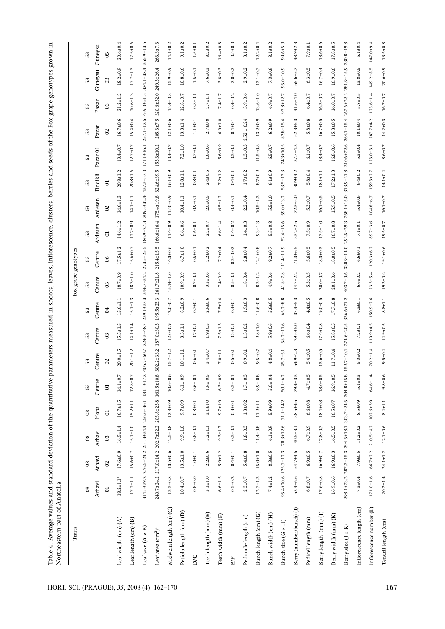| Traits                               |                                  |                                 |                                                        |                 |                |                  |                  |                  | grape<br>$_{\rm FoX}$ | genotypes           |                  |                   |                  |                  |                  |                    |                  |                 |
|--------------------------------------|----------------------------------|---------------------------------|--------------------------------------------------------|-----------------|----------------|------------------|------------------|------------------|-----------------------|---------------------|------------------|-------------------|------------------|------------------|------------------|--------------------|------------------|-----------------|
|                                      | $_{\rm 8}$                       | $_{\rm 8}$                      | $_{08}$                                                | $_{08}$         | E3             | E3               | 53               | 53               | S3                    | 53                  | E3               | 53                | S3               | 53               | 53               | 53                 | E3               | S3              |
|                                      | Arhavi                           | Arhavi                          | Arhavi                                                 | Hopa            | Centre         | Centre           | Centre           | Centre           | Centre                | Centre              | Ardesen          | Ardesen           | Findikli         | Pazar 01         | Pazar            | Pazar              | Guneysu          | Guneysu         |
|                                      | $\overline{\circ}$               | $\Omega$                        | පි                                                     | $\overline{0}$  | $\Xi$          | $\mathcal{O}$    | $\mathfrak{S}$   | $\beta$          | ర్                    | 8                   | $\overline{c}$   | $\Omega$          | 5                |                  | $\Omega$         | 0 <sup>3</sup>     | ප                | 95              |
| Leaf width (cm) (A)                  | $18.2 \pm 1.1*$                  | $17.6 \pm 0.9$                  | $16.5 \pm 1.4$                                         | $16.7 \pm 1.5$  | $14.1 \pm 0.7$ | rj<br>$20.0 + 1$ | $15.5 \pm 1$     | $15.6 \pm 1.1$   | $18.7 \pm 0.9$        | ن.<br>$17.5 \pm 1.$ | $14.6 \pm 1.2$   | w<br>$14.6 \pm 1$ | $20.8 + 1.2$     | $13.4 + 0.7$     | $16.7 \pm 0.6$   | L.<br>$21.2 \pm 1$ | $18.2 \pm 0.9$   | $20.4 + 0.4$    |
| Leaf length (cm) (B)                 | $17.2 \pm 1.1$                   | $15.6 \pm 0.7$                  | $15.1 \pm 1.0$                                         | $15.2 \pm 1.1$  | $12.8 \pm 0.7$ | $20.1 \pm 1.2$   | $14.1 \pm 1.4$   | $15.1 \pm 1.3$   | $18.3 \pm 1.0$        | $15.6 \pm 0.7$      | $12.7 + 0.9$     | $14.1 \pm 1.1$    | $20.8 + 1.6$     | $12.7 \pm 0.7$   | $15.4 + 0.4$     | $20.6 + 1.3$       | $17.7 \pm 1.3$   | $17.5 \pm 0.6$  |
| Leaf size $(A \times B)$             |                                  |                                 | 314.5±39.2 276.5±24.2 251.3±34.4 256.6±36.1 181.1±17.2 |                 |                | 406.7±50.7       | $224.3 + 48.7$   | $239.1 + 37.3$   | $344.7 + 34.2$        | $273.5 + 25.5$      | $186.9 \pm 27.3$ | $209.3 + 32.4$    | 437.3±57.0       | 171.1±16.1       | $257.1 \pm 12.5$ | $439.0 + 51.3$     | $324.1 \pm 38.4$ | 355.9±13.6      |
| Leaf area $\text{cm}^2$ <sup>*</sup> |                                  |                                 | 240.7±24.2 217.0±14.2 202.7±22.2 205.8±23.8 161.5±10.8 |                 |                | $302.2 \pm 33.2$ | $187.0 + 30.3$   | $195.5 \pm 23.3$ | $261.7 \pm 21.8$      | $215.4 \pm 15.5$    | 166.6±16.4       | $175.4 \pm 19.8$  | $324.6 \pm 39.5$ | $153.3 \pm 10.2$ | $205.3 \pm 7.5$  | $320.6 \pm 32.0$   | $249.3 \pm 26.4$ | $263.3 \pm 7.3$ |
| Midwein length (cm) (C)              | $13.3 \pm 0.8$                   | $13.5 \pm 0.6$                  | $12.5 \pm 0.8$                                         | $12.8 + 0.9$    | $10.6 + 0.6$   | $15.7 \pm 1.2$   | $12.0 + 0.9$     | $12.0 + 0.7$     | $15.14 \pm 1.0$       | $14.3 \pm 0.6$      | $11.4 + 0.9$     | $11.50 \pm 0.9$   | $16.1 \pm 0.9$   | $10.4 + 0.7$     | $12.1 \pm 0.6$   | $15.4 + 0.8$       | $15.9 \pm 0.9$   | $14.1 \pm 0.2$  |
| Petiola length (cm) (D)              | $10.4 + 0.7$                     | $13.5 \pm 1.0$                  | $9.9 + 1.0$                                            | $9.7 + 0.9$     | $6.1 \pm 0.9$  | $10.1 \pm 1.1$   | $8.3 + 1.1$      | $8.2 + 0.9$      | $10.9 + 0.9$          | $6.7 \pm 1.0$       | $6.6 + 0.6$      | $10.4 + 1.1$      | $12.8 \pm 1.1$   | $7.2 + 1.0$      | $13.8 + 1.4$     | $12.8 + 0.7$       | $10.8 + 0.6$     | $9.1 \pm 0.2$   |
| $\overline{D}$                       | $0.8 + 0.0$                      | $1.0 + 0.1$                     | $0.8 + 0.1$                                            | $0.8 + 0.1$     | $0.6 \pm 0.1$  | $0.6 + 0.1$      | $0.7 + 0.1$      | $0.7 + 0.1$      | $0.7 + 0.1$           | $0.5 \pm 0.1$       | $0.6 + 0.1$      | $0.9 + 0.1$       | $0.8 + 0.1$      | $0.7\pm0.1$      | $1.1 + 0.1$      | $0.8 + 0.1$        | $1.5 + 0.1$      | $1.5 \pm 0.1$   |
| Teeth length (mm) (E)                | $3.1 + 1.0$                      | $2.2 \pm 0.6$                   | $3.2 + 1.1$                                            | $3.1 + 1.0$     | $1.9 + 0.5$    | $3.4 + 0.7$      | $1.9 + 0.5$      | $2.9 + 0.6$      | $3.3 + 0.6$           | $2.2 + 0.2$         | $2.2 + 0.7$      | $2.0 + 0.5$       | $2.4 + 0.6$      | $1.6 + 0.6$      | $2.7 \pm 0.8$    | $2.7 + 1.1$        | $7.6 \pm 0.3$    | $8.2 + 0.2$     |
| Teeth width (mm) (F)                 | $6.6 \pm 1.5$                    | $5.9 \pm 1.2$                   | $9.3 \pm 1.7$                                          | $9.7 + 1.9$     | $6.3 \pm 0.9$  | $7.0 + 1.1$      | $7.5 + 1.3$      | $7.5 + 1.4$      | $7.4 + 0.9$           | $7.2 \pm 0.4$       | $6.6 + 1.4$      | $6.5 \pm 1.2$     | $7.2 + 1.2$      | $5.6 + 0.9$      | $6.9 + 1.0$      | $7.4 + 1.7$        | $3.8 + 0.3$      | $16.4 + 0.8$    |
| E/F                                  | $0.5 + 0.2$                      | $0.4 + 0.1$                     | $0.3 + 0.1$                                            | $0.3 + 0.1$     | $0.3 + 0.1$    | $0.5 + 0.1$      | $0.3 + 0.1$      | $0.4 + 0.1$      | $0.5 \pm 0.1$         | $0.3 + 0.02$        | $0.4 + 0.2$      | $0.4 + 0.1$       | $0.4 + 0.1$      | $0.3 + 0.1$      | $0.4 + 0.1$      | $0.4 + 0.2$        | $2.0 + 0.2$      | $0.5 + 0.0$     |
| Peduncle length (cm)                 | $2.3 \pm 0.7$                    | $5.4 \pm 0.8$                   | $1.8 + 0.3$                                            | $1.8 + 0.2$     | $1.7 \pm 0.3$  | $0.9 + 0.1$      | $1.3 + 0.2$      | $1.9 + 0.3$      | $1.8 + 0.4$           | $2.8 + 0.4$         | $1.4 + 0.3$      | $2.2 + 0.4$       | $1.7 + 0.2$      | $1.3 + 0.3$      | $2.52 \pm 0.24$  | $3.9 + 0.6$        | $2.9 + 0.2$      | $3.1 \pm 0.2$   |
| Bunch length (cm) (G)                | $12.7 \pm 1.3$                   | $15.0 + 1.0$                    | $11.4 \pm 0.8$                                         | $11.9 + 1.1$    | $9.9 \pm 0.8$  | $9.5 \pm 0.7$    | $9.8 + 1.0$      | $11.6 + 0.8$     | $8.3 + 1.2$           | $12.1 \pm 0.8$      | $9.3 \pm 1.3$    | $10.5 + 1.3$      | $8.7 + 0.9$      | $11.5 + 0.8$     | $13.2 \pm 0.9$   | $13.6 + 1.0$       | $13.1 \pm 0.7$   | $12.2 \pm 0.4$  |
| Bunch width (cm) (H)                 | $7.4 + 1.2$                      | $8.3 \pm 0.5$                   | $6.1 + 0.9$                                            | $5.9 + 0.9$     | $5.0 \pm 0.4$  | $4.8 \pm 0.4$    | $5.9 + 0.6$      | $5.6 + 0.5$      | $4.9 + 0.6$           | $9.2 \pm 0.7$       | $5.5 \pm 0.8$    | $5.5 \pm 1.0$     | $6.1 \pm 0.9$    | $6.5 \pm 0.7$    | $6.2 \pm 0.9$    | $6.9 \pm 0.7$      | $7.3 + 0.6$      | $8.1 \pm 0.2$   |
| Bunch size (G x H)                   | $95.4 \pm 20.6$ 125.7 $\pm$ 12.3 |                                 | $70.3 + 12.6$                                          | $71.1 + 14.2$   | $50.1 \pm 6.2$ | $45.7 \pm 5.1$   | $58.2 \pm 11.6$  | $65.2 \pm 8.8$   | $41.8 \pm 7.8$        | 111.4±11.9          | $52.4 \pm 15.6$  | $59.0 + 13.2$     | $53.5 \pm 13.3$  | $74.3 \pm 10.5$  | $82.8 \pm 15.4$  | $93.8 \pm 12.7$    | $95.0 \pm 10.9$  | $99.6 + 5.0$    |
| Berry (number/bunch) (I)             | 53.4±6.6                         | $54.7 + 4.5$                    | $40.5 \pm 3.1$                                         | $38.5 + 4.5$    | $29.4 + 3.3$   | 54.9±2.3         | $29.5 + 5.0$     | $37.4 + 5.3$     | $14.7 \pm 2.2$        | $71.3 + 6.5$        | $33.2 \pm 2.5$   | $22.3 + 5.0$      | $30.9 + 4.2$     | $37.7 + 4.3$     | $52.3 + 5.3$     | $41.6 + 4.0$       | $55.6 \pm 5.2$   | $48.9 \pm 2.3$  |
| Pedicel length (mm)                  | $6.8{\pm}0.7$                    | $6.9 \pm 0.5$                   | $6.7 + 0.9$                                            | $6.6 \pm 0.8$   | $4.7 \pm 0.5$  | $5.4 \pm 0.5$    | $6.6 + 0.4$      | $4.4 + 0.5$      | $5.3 \pm 0.5$         | $5.6 \pm 0.5$       | $7.5 + 0.9$      | $5.3 \pm 0.7$     | $5.8 \pm 0.4$    | $6.1 + 0.7$      | $5.8 + 0.8$      | $6.4 \pm 0.7$      | $6.3 \pm 0.5$    | $7.9 + 0.1$     |
| Berry length (mm) (J)                | $17.6 \pm 0.8$                   | $16.9 \pm 0.7$                  | $17.8 + 0.7$                                           | $18.4 \pm 0.8$  | $18.0 \pm 0.5$ | $13.6 \pm 0.5$   | $17.4 + 0.8$     | $19.0 \pm 0.5$   | $20.0 + 0.7$          | $18.3 \pm 0.3$      | $17.5 \pm 1.0$   | $16.1 \pm 0.5$    | $18.1 \pm 1.1$   | $18.4 + 0.7$     | $16.7 \pm 0.5$   | $16.3 + 0.7$       | $16.7 + 0.4$     | $18.6 \pm 0.6$  |
| Berry width (mm) (K)                 | $16.9 \pm 0.6$                   | $16.9 \pm 0.3$                  | $16.5 \pm 0.5$                                         | $16.5 \pm 0.7$  | $16.9 \pm 0.5$ | $11.7 \pm 0.4$   | $15.8 + 0.5$     | $17.7 \pm 0.8$   | $20.1 \pm 0.6$        | $18.0 \pm 0.5$      | $16.7 \pm 0.8$   | $15.9 \pm 0.5$    | $17.2 \pm 1.3$   | $16.8 \pm 0.6$   | $15.8 \pm 0.5$   | $16.0 \pm 0.7$     | $16.9 \pm 0.6$   | $17.8 \pm 0.$   |
| Berry size (J × K)                   |                                  |                                 | 298.1±23.2 287.3±15.3 294.5±18.1 303.7±24.5 304.8±15.8 |                 |                | 59.7±10.4        | $274.6 \pm 20.5$ | 336.6±21.2       | $403.7 \pm 0.6$       | 330.9±14.0          | 294.5±29.3       | $258.1 \pm 15.0$  | $313.9 + 41.8$   | $310.6 + 22.6$   | $264.1 + 15.4$   | $262.6 \pm 22.4$   | $281.9 \pm 15.9$ | $330.8 + 19$    |
| Inflorescence length (cm)            | $7.3 + 0.4$                      | $7.9 \pm 0.5$                   | $11.2 \pm 0.2$                                         | $8.5 \pm 0.9$   | $5.1 \pm 0.3$  | $5.3 \pm 0.2$    | $7.2 + 0.1$      | $6.3 \pm 0.1$    | $6.6 \pm 0.2$         | $6.6 \pm 0.1$       | $7.1 {\pm} 0.1$  | $5.4 + 0.6$       | $6.4 \pm 0.2$    | $5.3 \pm 0.4$    | $10.1 + 0.4$     | $5.8 + 0.5$        | $13.8 \pm 0.5$   | $6.1 \pm 0.4$   |
| Inflorescence number (L)             |                                  | $171.0 \pm 1.6$ $166.7 \pm 2.2$ | $210.5 + 4.2$                                          | $102.6 \pm 3.9$ | $64.6 \pm 1.4$ | $70.2 \pm 1.4$   | 119.9±4.5        | $150.9 + 2.6$    | $123.3 \pm 5.4$       | $120.3 \pm 6.2$     | 89.7±3.6         | $104.8 + 6.7$     | $159.3 \pm 2.7$  | $123.0 + 3.1$    | $287.7 + 4.2$    | $123.6 \pm 1.4$    | $149.2 \pm 8.5$  | 147.0±9.4       |
| Tendril length (cm)                  | $20.2 \pm 1.4$                   | $24.1 \pm 1.2$                  | $12.1 \pm 0.6$                                         | $8.4 \pm 1.1$   | $9.8 + 0.6$    | $9.5 \pm 0.4$    | 14.9±0.5         |                  |                       |                     |                  |                   |                  |                  |                  |                    |                  |                 |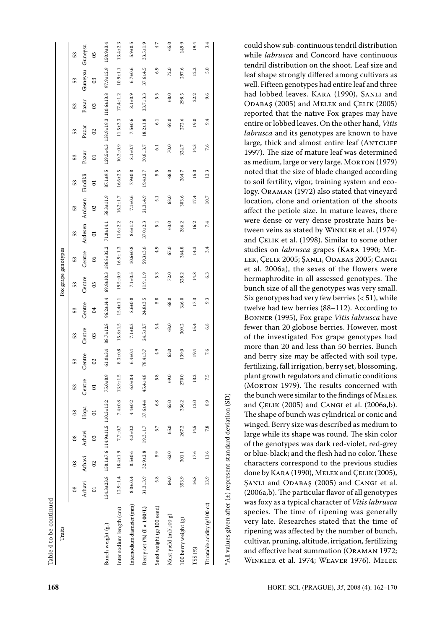| Traits              |                |                  |                | Bunch weight (g.)               | Internodium length (cm) | Internodium diameter (mm) | Berry set $(\%)$ (I × 100/L) | Seed weight (g/100 seed) | Must yield (ml/100 g) | $100$ berry weight $(g)$ | $TSS(%)$ | Titratable acidity (g/100 cc) | $^*$ All values given after (±) represent standard deviation (SD) | cultivar, pruning, altitude, irrigation, fertilizing<br>and effective heat summation (ORAMAN 1972;<br>WINKLER et al. 1974; WEAVER 1976). MELEK                                                     |
|---------------------|----------------|------------------|----------------|---------------------------------|-------------------------|---------------------------|------------------------------|--------------------------|-----------------------|--------------------------|----------|-------------------------------|-------------------------------------------------------------------|----------------------------------------------------------------------------------------------------------------------------------------------------------------------------------------------------|
|                     |                |                  |                |                                 |                         |                           |                              |                          |                       |                          |          |                               |                                                                   | was foxy as a typical character of Vitis labrusca<br>species. The time of ripening was generally<br>very late. Researches stated that the time of<br>ripening was affected by the number of bunch, |
|                     | $_{08}$        | Arhavi           | $\Xi$          | $34.3 \pm 23.8$                 | $12.9 \pm 1.4$          | $8.0 \pm .0.4$            | $31.3 + 3.9$                 | 5.8                      | 64.0                  | 353.9                    | $16.8\,$ | 13.9                          |                                                                   | ŞANLI and ODABAŞ (2005) and CANGI et al.<br>(2006a,b). The particular flavor of all genotypes                                                                                                      |
|                     | $_{\rm 08}$    | Arhavi           | $\Omega$       |                                 | $18.4 + 1.9$            | $8.5 \pm 0.6$             | $32.9 \pm 2.8$               | 5.9                      | 62.0                  | $301.1$                  | 17.6     | 11.6                          |                                                                   | or blue-black; and the flesh had no color. These<br>characters correspond to the previous studies<br>done by KARA (1990), MELEK and ÇELIK (2005),                                                  |
|                     | $_{\rm 08}$    | Arhavi           | $_{03}$        | 158.1±7.6 114.9±11.5 110.3±13.2 | $7.7{\pm}0.7$           | $4.3 \pm 0.2$             | $19.3 \pm 1.7$               | 5.7                      | 65.0                  | 267.2                    | 14.5     | $7.8\,$                       |                                                                   | large while its shape was round. The skin color<br>of the genotypes was dark red-violet, red-grey                                                                                                  |
|                     | $08\,$         | Hopa             | $\Xi$          |                                 | $7.4 + 0.8$             | $4.4 + 0.2$               | $37.6 + 4.4$                 | $6.8\,$                  | 65.0                  | 336.2                    | $12.0$   | 8.9                           |                                                                   | and ÇELIK (2005) and CANGI et al. (2006a,b).<br>The shape of bunch was cylindrical or conic and<br>winged. Berry size was described as medium to                                                   |
|                     | $\mathbb{S}^2$ | Centre           | $\Xi$          | G<br>$75.0 + 8.$                | ró<br>$13.9 + 1$        | $6.0 \pm 0.4$             | $45.4 + 4.8$                 | rų.                      | 69.                   | 270.                     | 13       | S<br>V,                       |                                                                   | plant growth regulators and climatic conditions<br>(MORTON 1979). The results concerned with<br>the bunch were similar to the findings of MELEK                                                    |
|                     | £3             | Centre           | $\Omega$       | $61.0 + 3.4$                    | $8.3{\pm}0.8$           | $6.4 \pm 0.4$             | 78.4±3.7                     | 4.9                      | 63.0                  | 139.0                    | 19.4     | 7.6                           |                                                                   | more than 20 and less than 50 berries. Bunch<br>and berry size may be affected with soil type,<br>fertilizing, fall irrigation, berry set, blossoming,                                             |
|                     | £3             | Centre           | $_{03}$        | 88.7±12.8                       | $15.8 \pm 1.5$          | $7.1 \pm 0.3$             | $24.5 + 3.7$                 | 5.4                      | 68.0                  | 309.2                    | $15.4\,$ | 6.8                           |                                                                   | fewer than 20 globose berries. However, most<br>of the investigated Fox grape genotypes had                                                                                                        |
|                     | 53             | Centre           | $\sigma$       | $96.2 \pm 14.4$                 | $15.4 \pm 1.1$          | $8.6{\pm}0.8$             | $24.8 \pm 3.5$               | 5.8                      | 68.0                  | 346.0                    | 17.3     | 9.3                           |                                                                   | Six genotypes had very few berries $(51), while$<br>twelve had few berries (88-112). According to<br>BONNER (1995), Fox grape Vitis labrusca have                                                  |
| Fox grape genotypes | 53             | Centre           | $\mathbf{S}$   |                                 | $19.5 \pm 0.9$          | $7.1 \pm 0.5$             | $11.9 + 1.9$                 | 5.3                      | 72.0                  | 528.2                    | $14.8\,$ | 6.3                           |                                                                   | hermaphrodite in all assessed genotypes. The<br>bunch size of all the genotypes was very small.                                                                                                    |
|                     | 53             | Centre           | $\infty$       | $69.9 \pm 10.3$ 186.8±32.2      | $16.9 \pm 1.3$          | $10.6{\pm}0.8$            | $59.3 \pm 3.6$               | $4.9$                    | 67.0                  | 364.8                    | 14.3     | 3.4                           |                                                                   | studies on labrusca grapes (KARA 1990; ME-<br>LEK, ÇELIK 2005; ŞANLI, ODABAS 2005; CANGI<br>et al. 2006a), the sexes of the flowers were                                                           |
|                     | 53             | Ardesen          | $\Xi$          | $71.8 + 14.1$                   | $11.6 \pm 2.2$          | $8.6 \pm 1.2$             | $37.0 + 2.3$                 | 5.4                      | 63.0                  | 286.2                    | 16.2     | $7.4\,$                       |                                                                   | were dense or very dense prostrate hairs be-<br>tween veins as stated by WINKLER et al. (1974)<br>and ÇELIK et al. (1998). Similar to some other                                                   |
|                     | 53             | Ardesen          | $\overline{0}$ | $58.3 \pm 11.9$                 | $16.2 \pm 1.7$          | $7.1 \pm 0.6$             | $21.3 + 4.9$                 | $\overline{5}1$          | 68.0                  | 303.6                    | 17.4     | $10.7\,$                      |                                                                   | location, clone and orientation of the shoots<br>affect the petiole size. In mature leaves, there                                                                                                  |
|                     | 53             | Findikli         | $\Xi$          | $87.1 + 9.5$                    | $16.6 \pm 2.5$          | $7.9{\pm}0.8$             | $19.4 + 2.7$                 | 5.5                      | 68.0                  | 264.7                    | 15.0     | $12.3\,$                      |                                                                   | noted that the size of blade changed according<br>to soil fertility, vigor, training system and eco-<br>logy. ORAMAN (1972) also stated that vineyard                                              |
|                     | 53             | Pazar            | $\Xi$          | $129.5 + 4.3$                   | $10.3 + 0.9$            | $8.1{\pm}0.7$             | $30.8 + 3.7$                 | $6.1\,$                  | $_{\rm 70.0}$         | 324.7                    | 14.3     | 7.6                           |                                                                   | 1997). The size of mature leaf was determined<br>as medium, large or very large. MORTON (1979)                                                                                                     |
|                     | £3             | $_{\rm {Pazar}}$ | $\Omega$       | $138.9 \pm 19.3$                | $11.5 + 3.3$            | $7.5 + 0.6$               | $18.2 \pm 1.8$               | $6.1\,$                  | 69.0                  | 272.6                    | 19.0     | 9.4                           |                                                                   | entire or lobbed leaves. On the other hand, Vitis<br>labrusca and its genotypes are known to have<br>large, thick and almost entire leaf (ANTCLIFF                                                 |
|                     | 53             | Pazar            | 03             | $110.6 \pm 13.8$                | $17.4 + 1.2$            | $8.1 + 0.9$               | $33.7 + 3.3$                 | 5.5                      | 68.0                  | 298.5                    | 22.2     | 9.6                           |                                                                   | had lobbed leaves. KARA (1990), ŞANLI and<br>ODABAŞ (2005) and MELEK and ÇELIK (2005)<br>reported that the native Fox grapes may have                                                              |
|                     | £3             | Guneysu          | $_{03}$        | $97.9 \pm 12.9$                 | $10.9 + 1.1$            | $6.7 \pm 0.6$             | $37.6 + 4.5$                 | $6.9$                    | 72.0                  | 297.6                    | 12.2     | 5.0                           |                                                                   | leaf shape strongly differed among cultivars as<br>well. Fifteen genotypes had entire leaf and three                                                                                               |
|                     | £3             | Guneysu          | $65^{\circ}$   | $150.9 \pm 3.4$                 | $13.4 + 2.3$            | $5.9 + 0.5$               | $33.5 \pm 1.9$               | $4.7\,$                  | 65.0                  | 149.9                    | 19.4     | 3.4                           |                                                                   | could show sub-continuous tendril distribution<br>while labrusca and Concord have continuous<br>tendril distribution on the shoot. Leaf size and                                                   |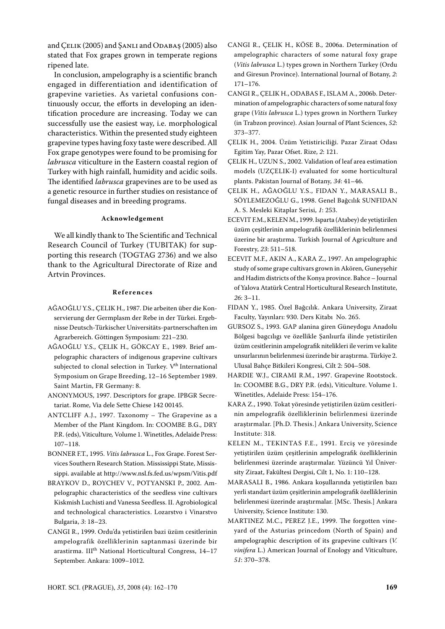and CELIK (2005) and SANLI and ODABAŞ (2005) also stated that Fox grapes grown in temperate regions ripened late.

In conclusion, ampelography is a scientific branch engaged in differentiation and identification of grapevine varieties. As varietal confusions continuously occur, the efforts in developing an identification procedure are increasing. Today we can successfully use the easiest way, i.e. morphological characteristics. Within the presented study eighteen grapevine types having foxy taste were described. All Fox grape genotypes were found to be promising for *labrusca* viticulture in the Eastern coastal region of Turkey with high rainfall, humidity and acidic soils. The identified *labrusca* grapevines are to be used as a genetic resource in further studies on resistance of fungal diseases and in breeding programs.

#### **Acknowledgement**

We all kindly thank to The Scientific and Technical Research Council of Turkey (TUBITAK) for supporting this research (TOGTAG 2736) and we also thank to the Agricultural Directorate of Rize and Artvin Provinces.

# **R e f e r e n c e s**

- AĞAOĞLU Y.S., ÇELIK H., 1987. Die arbeiten über die konservierung der Germplasm der Rebe in der Türkei. Ergebnisse Deutsch-Türkischer Universitäts-partnerschaften im Agrarbereich. Göttingen Symposium: 221–230.
- AĞAOĞLU Y.S., ÇELIK H., GÖKCAY E., 1989. Brief ampelographic characters of indigenous grapevine cultivars subjected to clonal selection in Turkey.  $V^{th}$  International Symposium on Grape Breeding, 12–16 September 1989. Saint Martin, FR Germany: 8.
- ANONYMOUS, 1997. Descriptors for grape. IPBGR Secretariat. Rome, Via dele Sette Chiese 142 00145.
- ANTCLIFF A.J., 1997. Taxonomy The Grapevine as a Member of the Plant Kingdom. In: COOMBE B.G., DRY P.R. (eds), Viticulture*,* Volume 1. Winetitles, Adelaide Press: 107–118.
- BONNER F.T., 1995. *Vitis labrusca* L., Fox Grape. Forest Services Southern Research Station. Mississippi State, Mississippi. available at http://www.nsl.fs.fed.us/wpsm/Vitis.pdf
- BRAYKOV D., ROYCHEV V., POTYANSKI P., 2002. Ampelographic characteristics of the seedless vine cultivars Kiskmish Luchisti and Vanessa Seedless. II. Agrobiological and technological characteristics. Lozarstvo i Vinarstvo Bulgaria, *3*: 18–23.
- CANGI R., 1999. Ordu'da yetistirilen bazi üzüm cesitlerinin ampelografik özelliklerinin saptanmasi üzerinde bir arastirma. III<sup>th</sup> National Horticultural Congress, 14-17 September. Ankara: 1009–1012.
- CANGI R., ÇELIK H., KÖSE B., 2006a. Determination of ampelographic characters of some natural foxy grape (*Vitis labrusca* L.) types grown in Northern Turkey (Ordu and Giresun Province). International Journal of Botany, *2*: 171–176.
- CANGI R., ÇELIK H., ODABAS F., ISLAM A., 2006b. Determination of ampelographic characters of some natural foxy grape (*Vitis labrusca* L.) types grown in Northern Turkey (in Trabzon province). Asian Journal of Plant Sciences, *52*: 373–377.
- ÇELIK H., 2004. Üzüm Yetistiriciliği. Pazar Ziraat Odası Egitim Yay, Pazar Ofset. Rize, *2*: 121.
- ÇELIK H., UZUN S., 2002. Validation of leaf area estimation models (UZÇELiK-I) evaluated for some horticultural plants. Pakistan Journal of Botany*, 34*: 41–46.
- ÇELIK H., AĞAOĞLU Y.S., FIDAN Y., MARASALI B., SÖYLEMEZOĞLU G., 1998. Genel Bağcılık SUNFIDAN A. S. Mesleki Kitaplar Serisi, *1*: 253.
- ECEVIT F.M., KELEN M., 1999. Isparta (Atabey) de yetiştirilen üzüm çeşitlerinin ampelografik özelliklerinin belirlenmesi üzerine bir araştırma. Turkish Journal of Agriculture and Forestry, *23*: 511–518.
- ECEVIT M.F., AKIN A., KARA Z., 1997. An ampelographic study of some grape cultivars grown in Akören, Guneyşehir and Hadim districts of the Konya province. Bahce – Journal of Yalova Atatürk Central Horticultural Research Institute, *26*: 3–11.
- FIDAN Y., 1985. Özel Bağcılık. Ankara University, Ziraat Faculty, Yayınları: 930. Ders Kitabı No. 265.
- GURSOZ S., 1993. GAP alanina giren Güneydogu Anadolu Bölgesi bagcılıgı ve özellikle Şanlıurfa ilinde yetistirilen üzüm cesitlerinin ampelografik nitelikleri ile verim ve kalite unsurlarının belirlenmesi üzerinde bir araştırma. Türkiye 2. Ulusal Bahçe Bitkileri Kongresi, Cilt 2: 504–508.
- HARDIE W.J., CIRAMI R.M., 1997. Grapevine Rootstock. In: COOMBE B.G., DRY P.R. (eds), Viticulture. Volume 1. Winetitles, Adelaide Press: 154–176.
- KARA Z., 1990. Tokat yöresinde yetiştirilen üzüm cesitlerinin ampelografik özelliklerinin belirlenmesi üzerinde araştırmalar. [Ph.D. Thesis.] Ankara University, Science Institute: 318.
- KELEN M., TEKINTAS F.E., 1991. Erciş ve yöresinde yetiştirilen üzüm çeşitlerinin ampelografik özelliklerinin belirlenmesi üzerinde araştırmalar. Yüzüncü Yıl Üniversity Ziraat, Fakültesi Dergisi, Cilt 1, No. 1: 110–128.
- MARASALI B., 1986. Ankara koşullarında yetiştirilen bazı yerli standart üzüm çeşitlerinin ampelografik özelliklerinin belirlenmesi üzerinde araştırmalar. [MSc. Thesis.] Ankara University, Science Institute: 130.
- MARTINEZ M.C., PEREZ J.E., 1999. The forgotten vineyard of the Asturias princedom (North of Spain) and ampelographic description of its grapevine cultivars (*V. vinifera* L.) American Journal of Enology and Viticulture, *51*: 370–378.